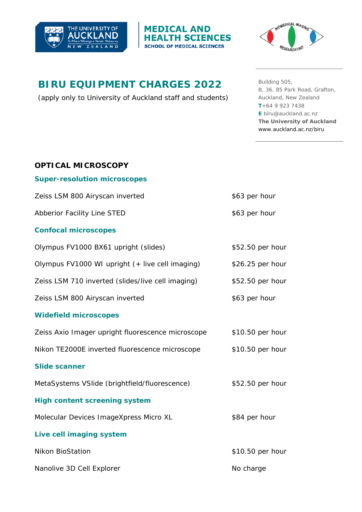



# **BIRU EQUIPMENT CHARGES 2022**

(apply only to University of Auckland staff and students)

**MEDICAL AND** 

**HEALTH SCIENCES** 

**SCHOOL OF MEDICAL SCIENCES** 

Building 505, B, 36, 85 Park Road, Grafton, Auckland, New Zealand **T**+64 9 923 7438 **E** biru@auckland.ac.nz **The University of Auckland**  www.auckland.ac.nz/biru

| <b>OPTICAL MICROSCOPY</b>                         |                  |
|---------------------------------------------------|------------------|
| <b>Super-resolution microscopes</b>               |                  |
| Zeiss LSM 800 Airyscan inverted                   | \$63 per hour    |
| Abberior Facility Line STED                       | \$63 per hour    |
| <b>Confocal microscopes</b>                       |                  |
| Olympus FV1000 BX61 upright (slides)              | \$52.50 per hour |
| Olympus FV1000 WI upright (+ live cell imaging)   | \$26.25 per hour |
| Zeiss LSM 710 inverted (slides/live cell imaging) | \$52.50 per hour |
| Zeiss LSM 800 Airyscan inverted                   | \$63 per hour    |
| <b>Widefield microscopes</b>                      |                  |
| Zeiss Axio Imager upright fluorescence microscope | \$10.50 per hour |
| Nikon TE2000E inverted fluorescence microscope    | \$10.50 per hour |
| <b>Slide scanner</b>                              |                  |
| MetaSystems VSIide (brightfield/fluorescence)     | \$52.50 per hour |
| <b>High content screening system</b>              |                  |
| Molecular Devices ImageXpress Micro XL            | \$84 per hour    |
| Live cell imaging system                          |                  |
| <b>Nikon BioStation</b>                           | \$10.50 per hour |
| Nanolive 3D Cell Explorer                         | No charge        |